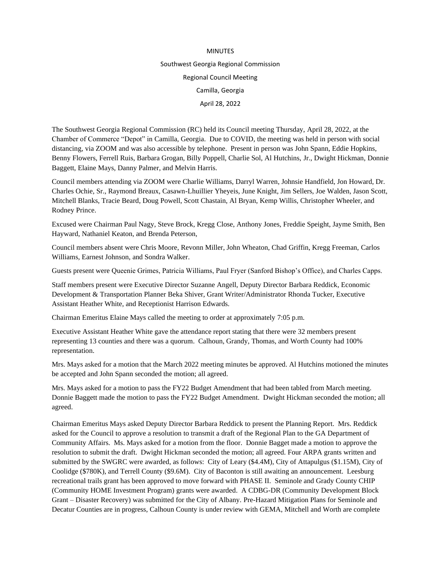## MINUTES Southwest Georgia Regional Commission Regional Council Meeting Camilla, Georgia April 28, 2022

The Southwest Georgia Regional Commission (RC) held its Council meeting Thursday, April 28, 2022, at the Chamber of Commerce "Depot" in Camilla, Georgia. Due to COVID, the meeting was held in person with social distancing, via ZOOM and was also accessible by telephone. Present in person was John Spann, Eddie Hopkins, Benny Flowers, Ferrell Ruis, Barbara Grogan, Billy Poppell, Charlie Sol, Al Hutchins, Jr., Dwight Hickman, Donnie Baggett, Elaine Mays, Danny Palmer, and Melvin Harris.

Council members attending via ZOOM were Charlie Williams, Darryl Warren, Johnsie Handfield, Jon Howard, Dr. Charles Ochie, Sr., Raymond Breaux, Casawn-Lhuillier Yheyeis, June Knight, Jim Sellers, Joe Walden, Jason Scott, Mitchell Blanks, Tracie Beard, Doug Powell, Scott Chastain, Al Bryan, Kemp Willis, Christopher Wheeler, and Rodney Prince.

Excused were Chairman Paul Nagy, Steve Brock, Kregg Close, Anthony Jones, Freddie Speight, Jayme Smith, Ben Hayward, Nathaniel Keaton, and Brenda Peterson,

Council members absent were Chris Moore, Revonn Miller, John Wheaton, Chad Griffin, Kregg Freeman, Carlos Williams, Earnest Johnson, and Sondra Walker.

Guests present were Queenie Grimes, Patricia Williams, Paul Fryer (Sanford Bishop's Office), and Charles Capps.

Staff members present were Executive Director Suzanne Angell, Deputy Director Barbara Reddick, Economic Development & Transportation Planner Beka Shiver, Grant Writer/Administrator Rhonda Tucker, Executive Assistant Heather White, and Receptionist Harrison Edwards.

Chairman Emeritus Elaine Mays called the meeting to order at approximately 7:05 p.m.

Executive Assistant Heather White gave the attendance report stating that there were 32 members present representing 13 counties and there was a quorum. Calhoun, Grandy, Thomas, and Worth County had 100% representation.

Mrs. Mays asked for a motion that the March 2022 meeting minutes be approved. Al Hutchins motioned the minutes be accepted and John Spann seconded the motion; all agreed.

Mrs. Mays asked for a motion to pass the FY22 Budget Amendment that had been tabled from March meeting. Donnie Baggett made the motion to pass the FY22 Budget Amendment. Dwight Hickman seconded the motion; all agreed.

Chairman Emeritus Mays asked Deputy Director Barbara Reddick to present the Planning Report. Mrs. Reddick asked for the Council to approve a resolution to transmit a draft of the Regional Plan to the GA Department of Community Affairs. Ms. Mays asked for a motion from the floor. Donnie Bagget made a motion to approve the resolution to submit the draft. Dwight Hickman seconded the motion; all agreed. Four ARPA grants written and submitted by the SWGRC were awarded, as follows: City of Leary (\$4.4M), City of Attapulgus (\$1.15M), City of Coolidge (\$780K), and Terrell County (\$9.6M). City of Baconton is still awaiting an announcement. Leesburg recreational trails grant has been approved to move forward with PHASE II. Seminole and Grady County CHIP (Community HOME Investment Program) grants were awarded. A CDBG-DR (Community Development Block Grant – Disaster Recovery) was submitted for the City of Albany. Pre-Hazard Mitigation Plans for Seminole and Decatur Counties are in progress, Calhoun County is under review with GEMA, Mitchell and Worth are complete